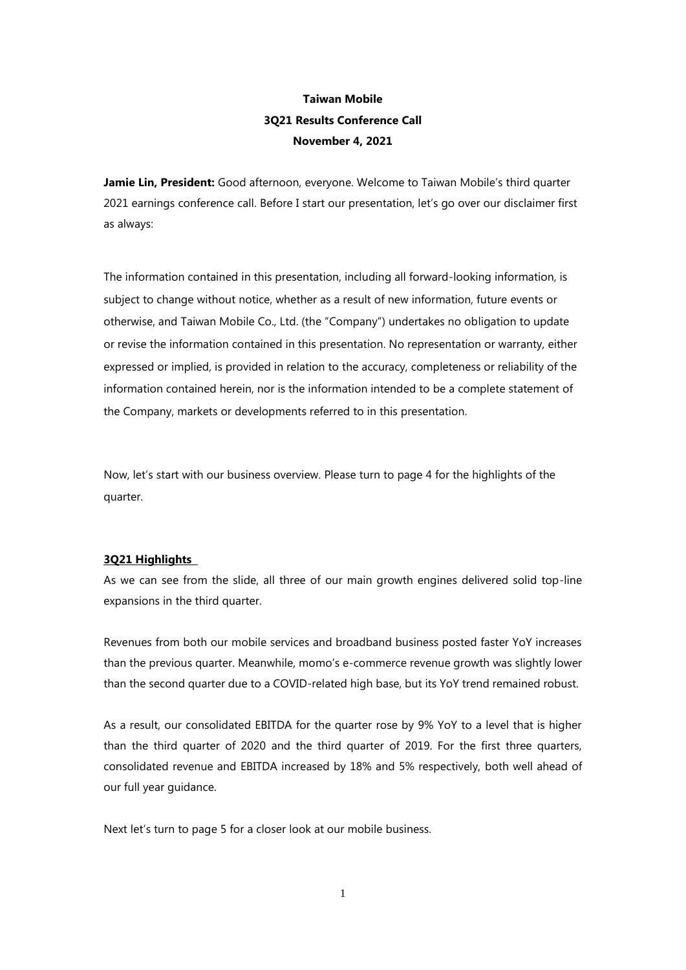# **Taiwan Mobile 3Q21 Results Conference Call November 4, 2021**

**Jamie Lin, President:** Good afternoon, everyone. Welcome to Taiwan Mobile's third quarter 2021 earnings conference call. Before I start our presentation, let's go over our disclaimer first as always:

The information contained in this presentation, including all forward-looking information, is subject to change without notice, whether as a result of new information, future events or otherwise, and Taiwan Mobile Co., Ltd. (the "Company") undertakes no obligation to update or revise the information contained in this presentation. No representation or warranty, either expressed or implied, is provided in relation to the accuracy, completeness or reliability of the information contained herein, nor is the information intended to be a complete statement of the Company, markets or developments referred to in this presentation.

Now, let's start with our business overview. Please turn to page 4 for the highlights of the quarter.

#### **3Q21 Highlights**

As we can see from the slide, all three of our main growth engines delivered solid top-line expansions in the third quarter.

Revenues from both our mobile services and broadband business posted faster YoY increases than the previous quarter. Meanwhile, momo's e-commerce revenue growth was slightly lower than the second quarter due to a COVID-related high base, but its YoY trend remained robust.

As a result, our consolidated EBITDA for the quarter rose by 9% YoY to a level that is higher than the third quarter of 2020 and the third quarter of 2019. For the first three quarters, consolidated revenue and EBITDA increased by 18% and 5% respectively, both well ahead of our full year guidance.

Next let's turn to page 5 for a closer look at our mobile business.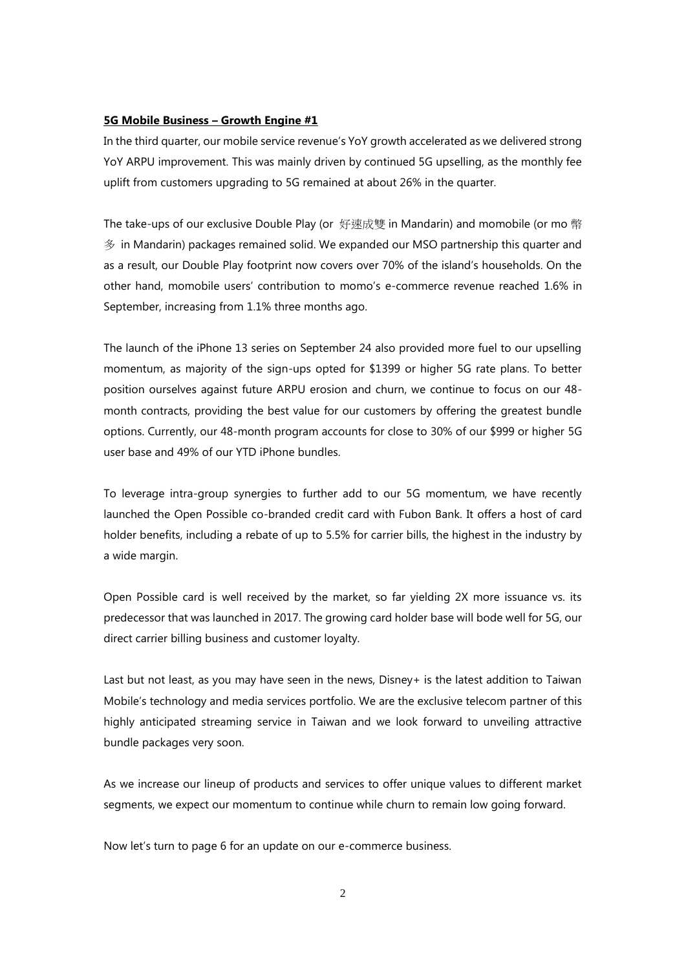# **5G Mobile Business – Growth Engine #1**

In the third quarter, our mobile service revenue's YoY growth accelerated as we delivered strong YoY ARPU improvement. This was mainly driven by continued 5G upselling, as the monthly fee uplift from customers upgrading to 5G remained at about 26% in the quarter.

The take-ups of our exclusive Double Play (or 好速成雙 in Mandarin) and momobile (or mo 幣 多 in Mandarin) packages remained solid. We expanded our MSO partnership this quarter and as a result, our Double Play footprint now covers over 70% of the island's households. On the other hand, momobile users' contribution to momo's e-commerce revenue reached 1.6% in September, increasing from 1.1% three months ago.

The launch of the iPhone 13 series on September 24 also provided more fuel to our upselling momentum, as majority of the sign-ups opted for \$1399 or higher 5G rate plans. To better position ourselves against future ARPU erosion and churn, we continue to focus on our 48 month contracts, providing the best value for our customers by offering the greatest bundle options. Currently, our 48-month program accounts for close to 30% of our \$999 or higher 5G user base and 49% of our YTD iPhone bundles.

To leverage intra-group synergies to further add to our 5G momentum, we have recently launched the Open Possible co-branded credit card with Fubon Bank. It offers a host of card holder benefits, including a rebate of up to 5.5% for carrier bills, the highest in the industry by a wide margin.

Open Possible card is well received by the market, so far yielding 2X more issuance vs. its predecessor that was launched in 2017. The growing card holder base will bode well for 5G, our direct carrier billing business and customer loyalty.

Last but not least, as you may have seen in the news, Disney+ is the latest addition to Taiwan Mobile's technology and media services portfolio. We are the exclusive telecom partner of this highly anticipated streaming service in Taiwan and we look forward to unveiling attractive bundle packages very soon.

As we increase our lineup of products and services to offer unique values to different market segments, we expect our momentum to continue while churn to remain low going forward.

Now let's turn to page 6 for an update on our e-commerce business.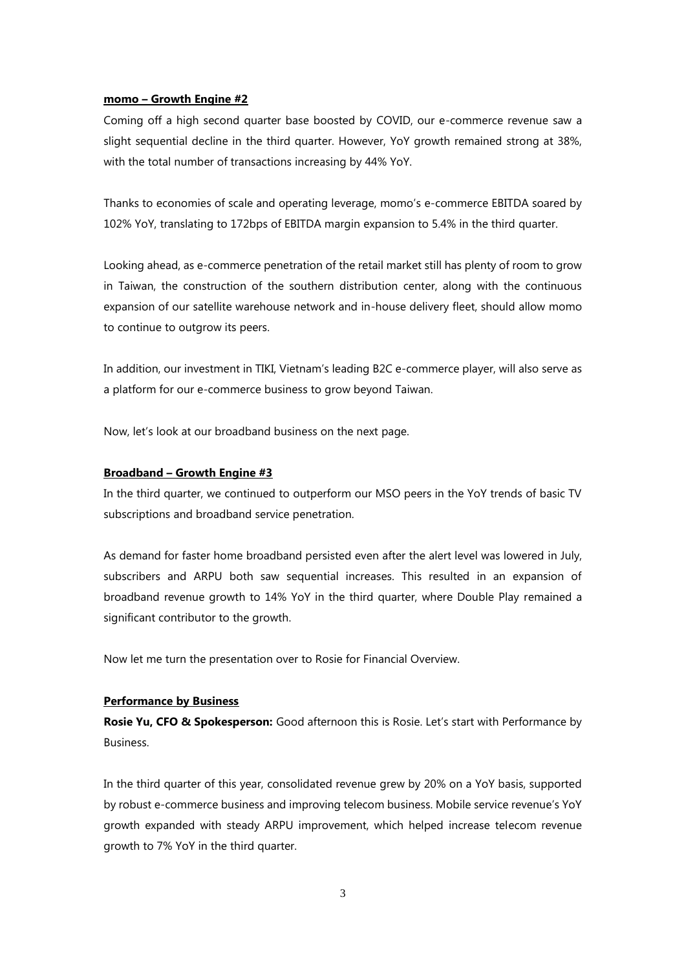#### **momo – Growth Engine #2**

Coming off a high second quarter base boosted by COVID, our e-commerce revenue saw a slight sequential decline in the third quarter. However, YoY growth remained strong at 38%, with the total number of transactions increasing by 44% YoY.

Thanks to economies of scale and operating leverage, momo's e-commerce EBITDA soared by 102% YoY, translating to 172bps of EBITDA margin expansion to 5.4% in the third quarter.

Looking ahead, as e-commerce penetration of the retail market still has plenty of room to grow in Taiwan, the construction of the southern distribution center, along with the continuous expansion of our satellite warehouse network and in-house delivery fleet, should allow momo to continue to outgrow its peers.

In addition, our investment in TIKI, Vietnam's leading B2C e-commerce player, will also serve as a platform for our e-commerce business to grow beyond Taiwan.

Now, let's look at our broadband business on the next page.

# **Broadband – Growth Engine #3**

In the third quarter, we continued to outperform our MSO peers in the YoY trends of basic TV subscriptions and broadband service penetration.

As demand for faster home broadband persisted even after the alert level was lowered in July, subscribers and ARPU both saw sequential increases. This resulted in an expansion of broadband revenue growth to 14% YoY in the third quarter, where Double Play remained a significant contributor to the growth.

Now let me turn the presentation over to Rosie for Financial Overview.

# **Performance by Business**

**Rosie Yu, CFO & Spokesperson:** Good afternoon this is Rosie. Let's start with Performance by **Business** 

In the third quarter of this year, consolidated revenue grew by 20% on a YoY basis, supported by robust e-commerce business and improving telecom business. Mobile service revenue's YoY growth expanded with steady ARPU improvement, which helped increase telecom revenue growth to 7% YoY in the third quarter.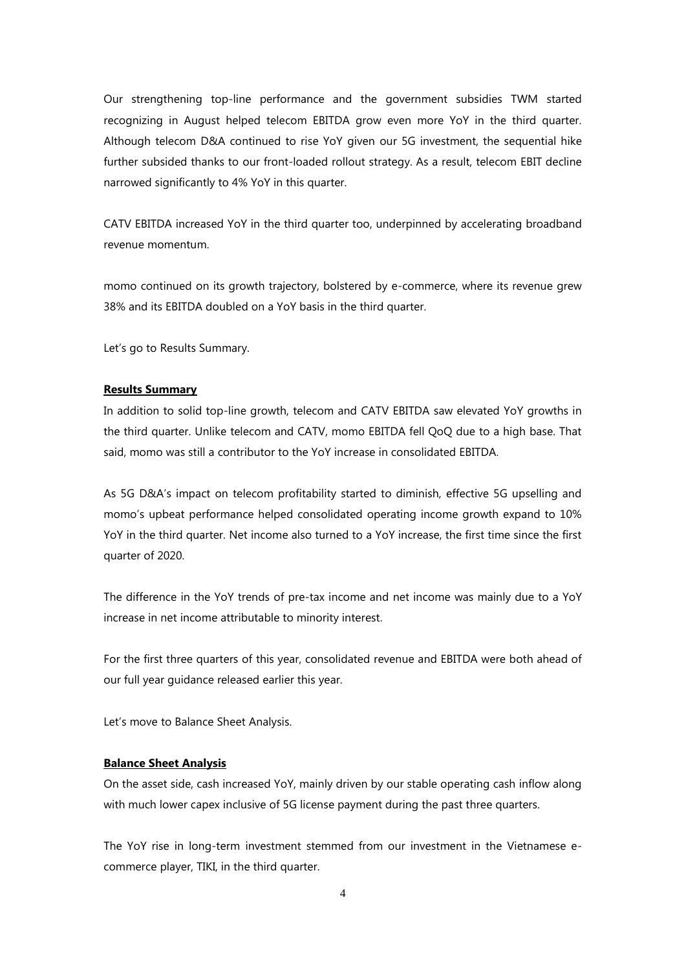Our strengthening top-line performance and the government subsidies TWM started recognizing in August helped telecom EBITDA grow even more YoY in the third quarter. Although telecom D&A continued to rise YoY given our 5G investment, the sequential hike further subsided thanks to our front-loaded rollout strategy. As a result, telecom EBIT decline narrowed significantly to 4% YoY in this quarter.

CATV EBITDA increased YoY in the third quarter too, underpinned by accelerating broadband revenue momentum.

momo continued on its growth trajectory, bolstered by e-commerce, where its revenue grew 38% and its EBITDA doubled on a YoY basis in the third quarter.

Let's go to Results Summary.

#### **Results Summary**

In addition to solid top-line growth, telecom and CATV EBITDA saw elevated YoY growths in the third quarter. Unlike telecom and CATV, momo EBITDA fell QoQ due to a high base. That said, momo was still a contributor to the YoY increase in consolidated EBITDA.

As 5G D&A's impact on telecom profitability started to diminish, effective 5G upselling and momo's upbeat performance helped consolidated operating income growth expand to 10% YoY in the third quarter. Net income also turned to a YoY increase, the first time since the first quarter of 2020.

The difference in the YoY trends of pre-tax income and net income was mainly due to a YoY increase in net income attributable to minority interest.

For the first three quarters of this year, consolidated revenue and EBITDA were both ahead of our full year guidance released earlier this year.

Let's move to Balance Sheet Analysis.

# **Balance Sheet Analysis**

On the asset side, cash increased YoY, mainly driven by our stable operating cash inflow along with much lower capex inclusive of 5G license payment during the past three quarters.

The YoY rise in long-term investment stemmed from our investment in the Vietnamese ecommerce player, TIKI, in the third quarter.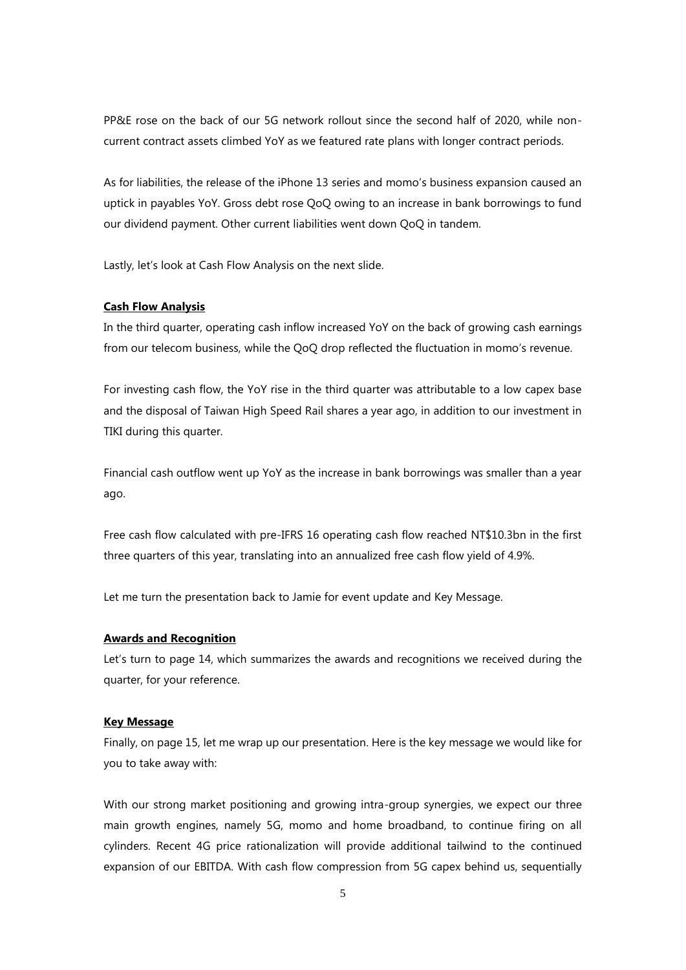PP&E rose on the back of our 5G network rollout since the second half of 2020, while noncurrent contract assets climbed YoY as we featured rate plans with longer contract periods.

As for liabilities, the release of the iPhone 13 series and momo's business expansion caused an uptick in payables YoY. Gross debt rose QoQ owing to an increase in bank borrowings to fund our dividend payment. Other current liabilities went down QoQ in tandem.

Lastly, let's look at Cash Flow Analysis on the next slide.

#### **Cash Flow Analysis**

In the third quarter, operating cash inflow increased YoY on the back of growing cash earnings from our telecom business, while the QoQ drop reflected the fluctuation in momo's revenue.

For investing cash flow, the YoY rise in the third quarter was attributable to a low capex base and the disposal of Taiwan High Speed Rail shares a year ago, in addition to our investment in TIKI during this quarter.

Financial cash outflow went up YoY as the increase in bank borrowings was smaller than a year ago.

Free cash flow calculated with pre-IFRS 16 operating cash flow reached NT\$10.3bn in the first three quarters of this year, translating into an annualized free cash flow yield of 4.9%.

Let me turn the presentation back to Jamie for event update and Key Message.

#### **Awards and Recognition**

Let's turn to page 14, which summarizes the awards and recognitions we received during the quarter, for your reference.

#### **Key Message**

Finally, on page 15, let me wrap up our presentation. Here is the key message we would like for you to take away with:

With our strong market positioning and growing intra-group synergies, we expect our three main growth engines, namely 5G, momo and home broadband, to continue firing on all cylinders. Recent 4G price rationalization will provide additional tailwind to the continued expansion of our EBITDA. With cash flow compression from 5G capex behind us, sequentially